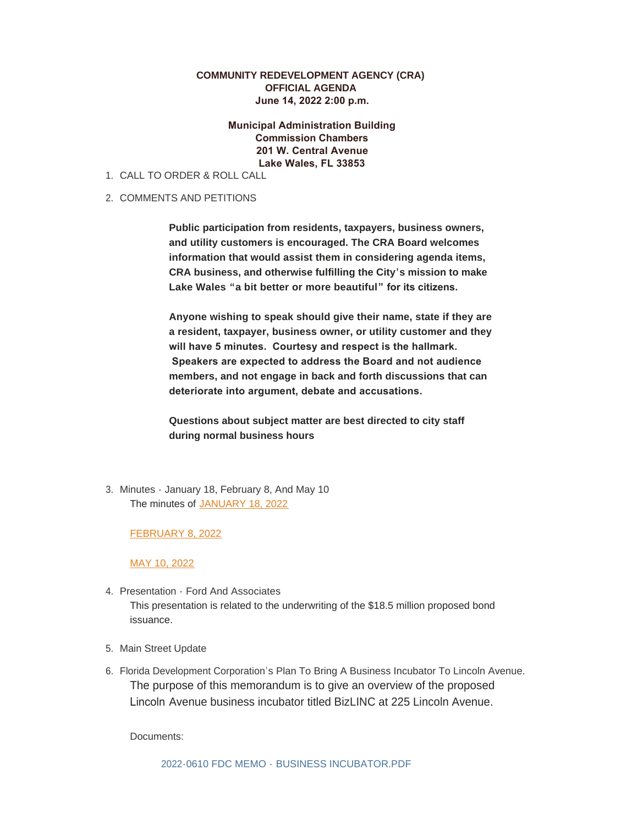## **COMMUNITY REDEVELOPMENT AGENCY (CRA) OFFICIAL AGENDA June 14, 2022 2:00 p.m.**

 **Municipal Administration Building Commission Chambers 201 W. Central Avenue Lake Wales, FL 33853**

- CALL TO ORDER & ROLL CALL 1.
- 2. COMMENTS AND PETITIONS

**Public participation from residents, taxpayers, business owners, and utility customers is encouraged. The CRA Board welcomes information that would assist them in considering agenda items, CRA business, and otherwise fulfilling the City's mission to make Lake Wales "a bit better or more beautiful" for its citizens.** 

**Anyone wishing to speak should give their name, state if they are a resident, taxpayer, business owner, or utility customer and they will have 5 minutes. Courtesy and respect is the hallmark. Speakers are expected to address the Board and not audience members, and not engage in back and forth discussions that can deteriorate into argument, debate and accusations.** 

**Questions about subject matter are best directed to city staff during normal business hours**

3. Minutes - January 18, February 8, And May 10 The minutes of [JANUARY 18, 2022](https://www.lakewalesfl.gov/AgendaCenter/ViewFile/Minutes/_01182022-1088)

## [FEBRUARY 8, 2022](https://www.lakewalesfl.gov/AgendaCenter/ViewFile/Minutes/_02082022-1101)

[MAY 10, 2022](https://www.lakewalesfl.gov/AgendaCenter/ViewFile/Minutes/_05102022-1149)

- 4. Presentation Ford And Associates This presentation is related to the underwriting of the \$18.5 million proposed bond issuance.
- 5. Main Street Update
- 6. Florida Development Corporation's Plan To Bring A Business Incubator To Lincoln Avenue. The purpose of this memorandum is to give an overview of the proposed Lincoln Avenue business incubator titled BizLINC at 225 Lincoln Avenue.

Documents: